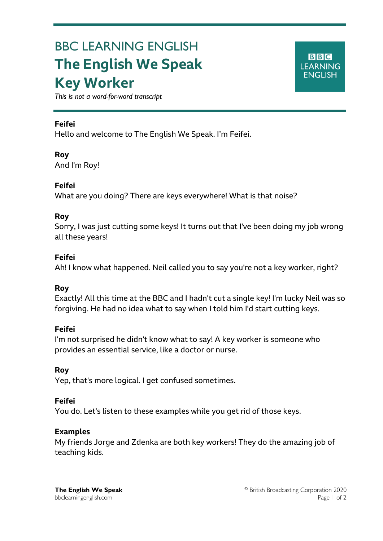# BBC LEARNING ENGLISH **The English We Speak Key Worker**



*This is not a word-for-word transcript*

## **Feifei**

Ξ

Hello and welcome to The English We Speak. I'm Feifei.

## **Roy**

And I'm Roy!

## **Feifei**

What are you doing? There are keys everywhere! What is that noise?

## **Roy**

Sorry, I was just cutting some keys! It turns out that I've been doing my job wrong all these years!

## **Feifei**

Ah! I know what happened. Neil called you to say you're not a key worker, right?

# **Roy**

Exactly! All this time at the BBC and I hadn't cut a single key! I'm lucky Neil was so forgiving. He had no idea what to say when I told him I'd start cutting keys.

#### **Feifei**

I'm not surprised he didn't know what to say! A key worker is someone who provides an essential service, like a doctor or nurse.

# **Roy**

Yep, that's more logical. I get confused sometimes.

#### **Feifei**

You do. Let's listen to these examples while you get rid of those keys.

#### **Examples**

My friends Jorge and Zdenka are both key workers! They do the amazing job of teaching kids.